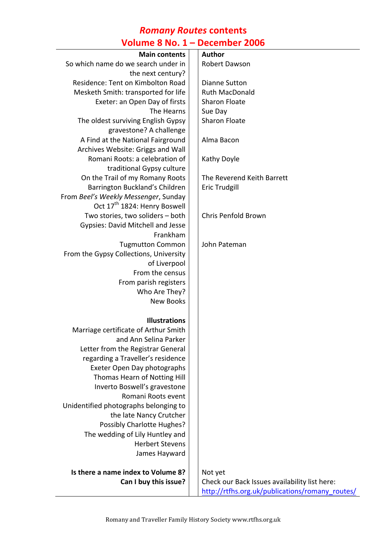# *Romany Routes* **contents Volume 8 No. 1 – December 2006**

| <b>VOIUIIIE O IVU. 1</b><br>DECEITING ZUUD |  |                                                 |  |
|--------------------------------------------|--|-------------------------------------------------|--|
| <b>Main contents</b>                       |  | Author                                          |  |
| So which name do we search under in        |  | Robert Dawson                                   |  |
| the next century?                          |  |                                                 |  |
| Residence: Tent on Kimbolton Road          |  | <b>Dianne Sutton</b>                            |  |
| Mesketh Smith: transported for life        |  | <b>Ruth MacDonald</b>                           |  |
| Exeter: an Open Day of firsts              |  | <b>Sharon Floate</b>                            |  |
| The Hearns                                 |  | Sue Day                                         |  |
| The oldest surviving English Gypsy         |  | <b>Sharon Floate</b>                            |  |
| gravestone? A challenge                    |  |                                                 |  |
| A Find at the National Fairground          |  | Alma Bacon                                      |  |
| Archives Website: Griggs and Wall          |  |                                                 |  |
| Romani Roots: a celebration of             |  | Kathy Doyle                                     |  |
| traditional Gypsy culture                  |  |                                                 |  |
| On the Trail of my Romany Roots            |  | The Reverend Keith Barrett                      |  |
| Barrington Buckland's Children             |  | <b>Eric Trudgill</b>                            |  |
| From Beel's Weekly Messenger, Sunday       |  |                                                 |  |
| Oct 17 <sup>th</sup> 1824: Henry Boswell   |  |                                                 |  |
| Two stories, two soliders - both           |  | Chris Penfold Brown                             |  |
| <b>Gypsies: David Mitchell and Jesse</b>   |  |                                                 |  |
| Frankham                                   |  |                                                 |  |
| <b>Tugmutton Common</b>                    |  | John Pateman                                    |  |
| From the Gypsy Collections, University     |  |                                                 |  |
| of Liverpool                               |  |                                                 |  |
| From the census                            |  |                                                 |  |
| From parish registers                      |  |                                                 |  |
| Who Are They?                              |  |                                                 |  |
| <b>New Books</b>                           |  |                                                 |  |
| <b>Illustrations</b>                       |  |                                                 |  |
| Marriage certificate of Arthur Smith       |  |                                                 |  |
| and Ann Selina Parker                      |  |                                                 |  |
| Letter from the Registrar General          |  |                                                 |  |
| regarding a Traveller's residence          |  |                                                 |  |
| Exeter Open Day photographs                |  |                                                 |  |
| Thomas Hearn of Notting Hill               |  |                                                 |  |
| Inverto Boswell's gravestone               |  |                                                 |  |
| Romani Roots event                         |  |                                                 |  |
| Unidentified photographs belonging to      |  |                                                 |  |
| the late Nancy Crutcher                    |  |                                                 |  |
| Possibly Charlotte Hughes?                 |  |                                                 |  |
| The wedding of Lily Huntley and            |  |                                                 |  |
| <b>Herbert Stevens</b>                     |  |                                                 |  |
| James Hayward                              |  |                                                 |  |
| Is there a name index to Volume 8?         |  | Not yet                                         |  |
| Can I buy this issue?                      |  | Check our Back Issues availability list here:   |  |
|                                            |  | http://rtfhs.org.uk/publications/romany_routes/ |  |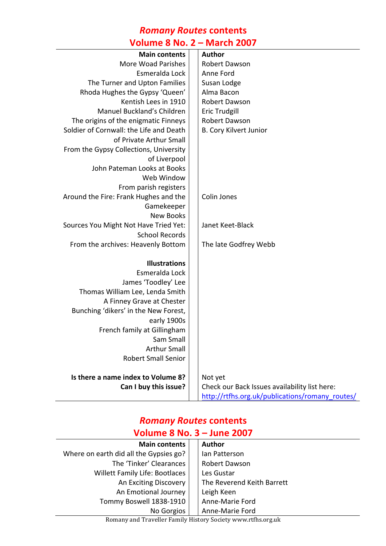# *Romany Routes* **contents**

#### **Volume 8 No. 2 – March 2007**

| <b>Main contents</b>                    | <b>Author</b>                                   |
|-----------------------------------------|-------------------------------------------------|
| <b>More Woad Parishes</b>               | Robert Dawson                                   |
| Esmeralda Lock                          | Anne Ford                                       |
| The Turner and Upton Families           | Susan Lodge                                     |
| Rhoda Hughes the Gypsy 'Queen'          | Alma Bacon                                      |
| Kentish Lees in 1910                    | <b>Robert Dawson</b>                            |
| Manuel Buckland's Children              | <b>Eric Trudgill</b>                            |
| The origins of the enigmatic Finneys    | Robert Dawson                                   |
| Soldier of Cornwall: the Life and Death | <b>B. Cory Kilvert Junior</b>                   |
| of Private Arthur Small                 |                                                 |
| From the Gypsy Collections, University  |                                                 |
| of Liverpool                            |                                                 |
| John Pateman Looks at Books             |                                                 |
| Web Window                              |                                                 |
| From parish registers                   |                                                 |
| Around the Fire: Frank Hughes and the   | Colin Jones                                     |
| Gamekeeper                              |                                                 |
| <b>New Books</b>                        |                                                 |
| Sources You Might Not Have Tried Yet:   | Janet Keet-Black                                |
| <b>School Records</b>                   |                                                 |
| From the archives: Heavenly Bottom      | The late Godfrey Webb                           |
|                                         |                                                 |
| <b>Illustrations</b>                    |                                                 |
| Esmeralda Lock                          |                                                 |
| James 'Toodley' Lee                     |                                                 |
| Thomas William Lee, Lenda Smith         |                                                 |
| A Finney Grave at Chester               |                                                 |
| Bunching 'dikers' in the New Forest,    |                                                 |
| early 1900s                             |                                                 |
| French family at Gillingham             |                                                 |
| Sam Small                               |                                                 |
| <b>Arthur Small</b>                     |                                                 |
| <b>Robert Small Senior</b>              |                                                 |
| Is there a name index to Volume 8?      | Not yet                                         |
| Can I buy this issue?                   | Check our Back Issues availability list here:   |
|                                         | http://rtfhs.org.uk/publications/romany_routes/ |
|                                         |                                                 |

# *Romany Routes* **contents Volume 8 No. 3 – June 2007**

| <b>Main contents</b>                   | <b>Author</b>              |
|----------------------------------------|----------------------------|
| Where on earth did all the Gypsies go? | lan Patterson              |
| The 'Tinker' Clearances                | Robert Dawson              |
| Willett Family Life: Bootlaces         | Les Gustar                 |
| An Exciting Discovery                  | The Reverend Keith Barrett |
| An Emotional Journey                   | Leigh Keen                 |
| Tommy Boswell 1838-1910                | Anne-Marie Ford            |
| No Gorgios                             | Anne-Marie Ford            |

Romany and Traveller Family History Society www.rtfhs.org.uk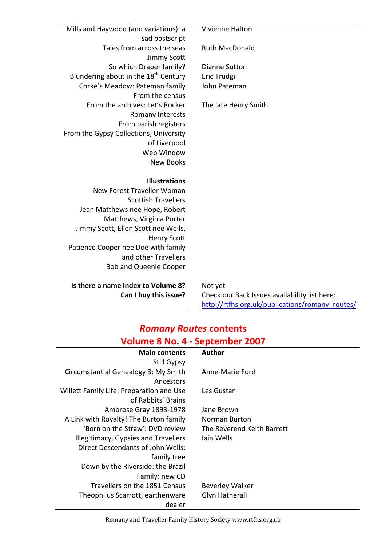| Mills and Haywood (and variations): a            | Vivienne Halton                                 |
|--------------------------------------------------|-------------------------------------------------|
| sad postscript                                   |                                                 |
| Tales from across the seas                       | <b>Ruth MacDonald</b>                           |
| Jimmy Scott                                      |                                                 |
| So which Draper family?                          | <b>Dianne Sutton</b>                            |
| Blundering about in the 18 <sup>th</sup> Century | <b>Eric Trudgill</b>                            |
| Corke's Meadow: Pateman family                   | John Pateman                                    |
| From the census                                  |                                                 |
| From the archives: Let's Rocker                  | The late Henry Smith                            |
| Romany Interests                                 |                                                 |
| From parish registers                            |                                                 |
| From the Gypsy Collections, University           |                                                 |
| of Liverpool                                     |                                                 |
| Web Window                                       |                                                 |
| <b>New Books</b>                                 |                                                 |
|                                                  |                                                 |
| <b>Illustrations</b>                             |                                                 |
| New Forest Traveller Woman                       |                                                 |
| <b>Scottish Travellers</b>                       |                                                 |
| Jean Matthews nee Hope, Robert                   |                                                 |
| Matthews, Virginia Porter                        |                                                 |
| Jimmy Scott, Ellen Scott nee Wells,              |                                                 |
| <b>Henry Scott</b>                               |                                                 |
| Patience Cooper nee Doe with family              |                                                 |
| and other Travellers                             |                                                 |
| <b>Bob and Queenie Cooper</b>                    |                                                 |
|                                                  |                                                 |
| Is there a name index to Volume 8?               | Not yet                                         |
| Can I buy this issue?                            | Check our Back Issues availability list here:   |
|                                                  | http://rtfhs.org.uk/publications/romany_routes/ |

### *Romany Routes* **contents Volume 8 No. 4 - September 2007**

| <b>Main contents</b>                     | <b>Author</b>              |
|------------------------------------------|----------------------------|
| Still Gypsy                              |                            |
| Circumstantial Genealogy 3: My Smith     | Anne-Marie Ford            |
| Ancestors                                |                            |
| Willett Family Life: Preparation and Use | Les Gustar                 |
| of Rabbits' Brains                       |                            |
| Ambrose Gray 1893-1978                   | Jane Brown                 |
| A Link with Royalty! The Burton family   | Norman Burton              |
| 'Born on the Straw': DVD review          | The Reverend Keith Barrett |
| Illegitimacy, Gypsies and Travellers     | Jain Wells                 |
| Direct Descendants of John Wells:        |                            |
| family tree                              |                            |
| Down by the Riverside: the Brazil        |                            |
| Family: new CD                           |                            |
| Travellers on the 1851 Census            | <b>Beverley Walker</b>     |
| Theophilus Scarrott, earthenware         | <b>Glyn Hatherall</b>      |
| dealer                                   |                            |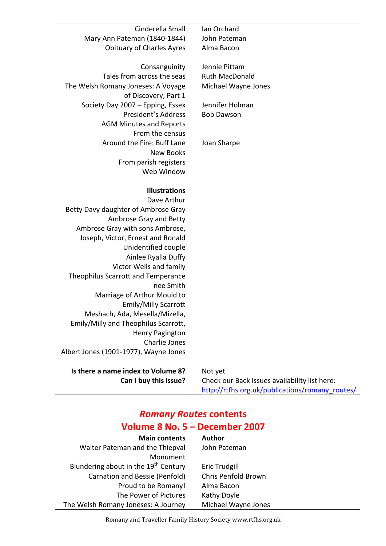| Cinderella Small                      | Ian Orchard                                     |
|---------------------------------------|-------------------------------------------------|
| Mary Ann Pateman (1840-1844)          | John Pateman                                    |
| <b>Obituary of Charles Ayres</b>      | Alma Bacon                                      |
|                                       |                                                 |
| Consanguinity                         | Jennie Pittam                                   |
| Tales from across the seas            | <b>Ruth MacDonald</b>                           |
| The Welsh Romany Joneses: A Voyage    | Michael Wayne Jones                             |
| of Discovery, Part 1                  |                                                 |
| Society Day 2007 - Epping, Essex      | Jennifer Holman                                 |
| President's Address                   | <b>Bob Dawson</b>                               |
| <b>AGM Minutes and Reports</b>        |                                                 |
| From the census                       |                                                 |
| Around the Fire: Buff Lane            | Joan Sharpe                                     |
| <b>New Books</b>                      |                                                 |
| From parish registers                 |                                                 |
| Web Window                            |                                                 |
|                                       |                                                 |
| <b>Illustrations</b>                  |                                                 |
| Dave Arthur                           |                                                 |
| Betty Davy daughter of Ambrose Gray   |                                                 |
| Ambrose Gray and Betty                |                                                 |
| Ambrose Gray with sons Ambrose,       |                                                 |
| Joseph, Victor, Ernest and Ronald     |                                                 |
| Unidentified couple                   |                                                 |
| Ainlee Ryalla Duffy                   |                                                 |
| Victor Wells and family               |                                                 |
| Theophilus Scarrott and Temperance    |                                                 |
| nee Smith                             |                                                 |
| Marriage of Arthur Mould to           |                                                 |
| <b>Emily/Milly Scarrott</b>           |                                                 |
| Meshach, Ada, Mesella/Mizella,        |                                                 |
| Emily/Milly and Theophilus Scarrott,  |                                                 |
| Henry Pagington                       |                                                 |
| Charlie Jones                         |                                                 |
| Albert Jones (1901-1977), Wayne Jones |                                                 |
| Is there a name index to Volume 8?    | Not yet                                         |
| Can I buy this issue?                 | Check our Back Issues availability list here:   |
|                                       | http://rtfhs.org.uk/publications/romany_routes/ |

# *Romany Routes* **contents Volume 8 No. 5 – December 2007**

| <b>Main contents</b>                             | <b>Author</b>       |
|--------------------------------------------------|---------------------|
| Walter Pateman and the Thiepval                  | John Pateman        |
| Monument                                         |                     |
| Blundering about in the 19 <sup>th</sup> Century | Eric Trudgill       |
| Carnation and Bessie (Penfold)                   | Chris Penfold Brown |
| Proud to be Romany!                              | Alma Bacon          |
| The Power of Pictures                            | Kathy Doyle         |
| The Welsh Romany Joneses: A Journey              | Michael Wayne Jones |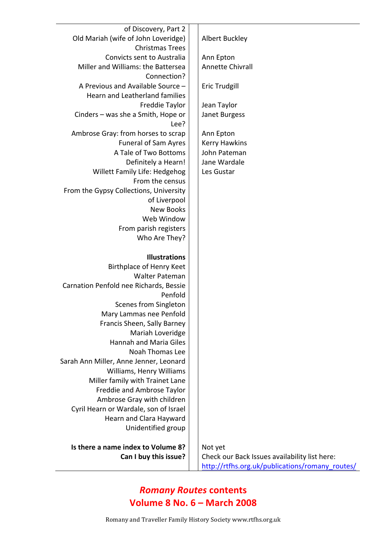| of Discovery, Part 2                   |                                                 |
|----------------------------------------|-------------------------------------------------|
| Old Mariah (wife of John Loveridge)    | Albert Buckley                                  |
| <b>Christmas Trees</b>                 |                                                 |
| Convicts sent to Australia             | Ann Epton                                       |
| Miller and Williams: the Battersea     | Annette Chivrall                                |
| Connection?                            |                                                 |
| A Previous and Available Source -      | <b>Eric Trudgill</b>                            |
| Hearn and Leatherland families         |                                                 |
| Freddie Taylor                         | Jean Taylor                                     |
| Cinders - was she a Smith, Hope or     | Janet Burgess                                   |
| Lee?                                   |                                                 |
| Ambrose Gray: from horses to scrap     | Ann Epton                                       |
| <b>Funeral of Sam Ayres</b>            | <b>Kerry Hawkins</b>                            |
| A Tale of Two Bottoms                  | John Pateman                                    |
| Definitely a Hearn!                    | Jane Wardale                                    |
| <b>Willett Family Life: Hedgehog</b>   | Les Gustar                                      |
| From the census                        |                                                 |
| From the Gypsy Collections, University |                                                 |
| of Liverpool                           |                                                 |
| <b>New Books</b>                       |                                                 |
| Web Window                             |                                                 |
| From parish registers                  |                                                 |
| Who Are They?                          |                                                 |
|                                        |                                                 |
| <b>Illustrations</b>                   |                                                 |
| Birthplace of Henry Keet               |                                                 |
| <b>Walter Pateman</b>                  |                                                 |
| Carnation Penfold nee Richards, Bessie |                                                 |
| Penfold                                |                                                 |
| Scenes from Singleton                  |                                                 |
| Mary Lammas nee Penfold                |                                                 |
| Francis Sheen, Sally Barney            |                                                 |
| Mariah Loveridge                       |                                                 |
| <b>Hannah and Maria Giles</b>          |                                                 |
| Noah Thomas Lee                        |                                                 |
| Sarah Ann Miller, Anne Jenner, Leonard |                                                 |
| Williams, Henry Williams               |                                                 |
| Miller family with Trainet Lane        |                                                 |
| Freddie and Ambrose Taylor             |                                                 |
| Ambrose Gray with children             |                                                 |
| Cyril Hearn or Wardale, son of Israel  |                                                 |
| Hearn and Clara Hayward                |                                                 |
| Unidentified group                     |                                                 |
| Is there a name index to Volume 8?     | Not yet                                         |
| Can I buy this issue?                  | Check our Back Issues availability list here:   |
|                                        | http://rtfhs.org.uk/publications/romany_routes/ |
|                                        |                                                 |

# *Romany Routes* **contents Volume 8 No. 6 – March 2008**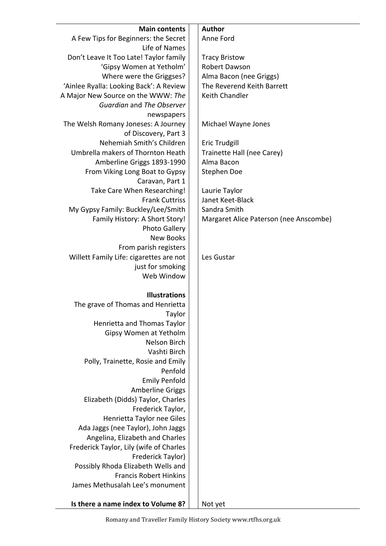| <b>Main contents</b>                                            | <b>Author</b>                          |
|-----------------------------------------------------------------|----------------------------------------|
| A Few Tips for Beginners: the Secret                            | Anne Ford                              |
| Life of Names                                                   |                                        |
| Don't Leave It Too Late! Taylor family                          | <b>Tracy Bristow</b>                   |
| 'Gipsy Women at Yetholm'                                        | Robert Dawson                          |
| Where were the Griggses?                                        | Alma Bacon (nee Griggs)                |
| 'Ainlee Ryalla: Looking Back': A Review                         | The Reverend Keith Barrett             |
| A Major New Source on the WWW: The<br>Guardian and The Observer | Keith Chandler                         |
|                                                                 |                                        |
| newspapers<br>The Welsh Romany Joneses: A Journey               | Michael Wayne Jones                    |
| of Discovery, Part 3                                            |                                        |
| Nehemiah Smith's Children                                       | Eric Trudgill                          |
| Umbrella makers of Thornton Heath                               | Trainette Hall (nee Carey)             |
| Amberline Griggs 1893-1990                                      | Alma Bacon                             |
| From Viking Long Boat to Gypsy                                  | Stephen Doe                            |
| Caravan, Part 1                                                 |                                        |
| Take Care When Researching!                                     | Laurie Taylor                          |
| <b>Frank Cuttriss</b>                                           | Janet Keet-Black                       |
| My Gypsy Family: Buckley/Lee/Smith                              | Sandra Smith                           |
| Family History: A Short Story!                                  | Margaret Alice Paterson (nee Anscombe) |
| <b>Photo Gallery</b>                                            |                                        |
| <b>New Books</b>                                                |                                        |
| From parish registers                                           |                                        |
| Willett Family Life: cigarettes are not                         | Les Gustar                             |
| just for smoking                                                |                                        |
| Web Window                                                      |                                        |
|                                                                 |                                        |
| <b>Illustrations</b>                                            |                                        |
| The grave of Thomas and Henrietta                               |                                        |
| Taylor                                                          |                                        |
| Henrietta and Thomas Taylor                                     |                                        |
| Gipsy Women at Yetholm                                          |                                        |
| Nelson Birch                                                    |                                        |
| Vashti Birch                                                    |                                        |
| Polly, Trainette, Rosie and Emily                               |                                        |
| Penfold                                                         |                                        |
| <b>Emily Penfold</b>                                            |                                        |
| <b>Amberline Griggs</b>                                         |                                        |
| Elizabeth (Didds) Taylor, Charles                               |                                        |
| Frederick Taylor,<br>Henrietta Taylor nee Giles                 |                                        |
| Ada Jaggs (nee Taylor), John Jaggs                              |                                        |
| Angelina, Elizabeth and Charles                                 |                                        |
| Frederick Taylor, Lily (wife of Charles                         |                                        |
| Frederick Taylor)                                               |                                        |
| Possibly Rhoda Elizabeth Wells and                              |                                        |
| <b>Francis Robert Hinkins</b>                                   |                                        |
| James Methusalah Lee's monument                                 |                                        |
|                                                                 |                                        |
| Is there a name index to Volume 8?                              | Not yet                                |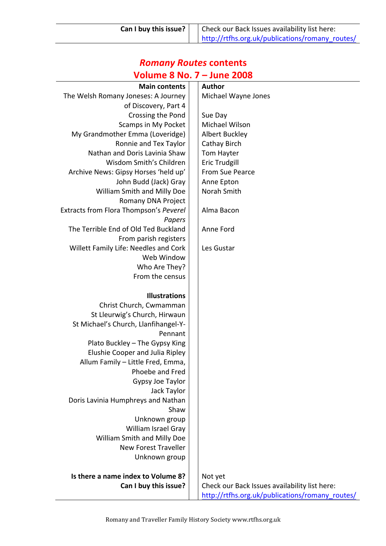# *Romany Routes* **contents Volume 8 No. 7 – June 2008**

| <b>Main contents</b>                   | <b>Author</b>                                                                                    |
|----------------------------------------|--------------------------------------------------------------------------------------------------|
| The Welsh Romany Joneses: A Journey    | Michael Wayne Jones                                                                              |
| of Discovery, Part 4                   |                                                                                                  |
| Crossing the Pond                      | Sue Day                                                                                          |
| <b>Scamps in My Pocket</b>             | Michael Wilson                                                                                   |
| My Grandmother Emma (Loveridge)        | Albert Buckley                                                                                   |
| Ronnie and Tex Taylor                  | Cathay Birch                                                                                     |
| Nathan and Doris Lavinia Shaw          | Tom Hayter                                                                                       |
| Wisdom Smith's Children                | Eric Trudgill                                                                                    |
| Archive News: Gipsy Horses 'held up'   | From Sue Pearce                                                                                  |
| John Budd (Jack) Gray                  | Anne Epton                                                                                       |
| William Smith and Milly Doe            | Norah Smith                                                                                      |
| Romany DNA Project                     |                                                                                                  |
| Extracts from Flora Thompson's Peverel | Alma Bacon                                                                                       |
| Papers                                 |                                                                                                  |
| The Terrible End of Old Ted Buckland   | Anne Ford                                                                                        |
| From parish registers                  |                                                                                                  |
| Willett Family Life: Needles and Cork  | Les Gustar                                                                                       |
| Web Window                             |                                                                                                  |
| Who Are They?                          |                                                                                                  |
| From the census                        |                                                                                                  |
|                                        |                                                                                                  |
| <b>Illustrations</b>                   |                                                                                                  |
| Christ Church, Cwmamman                |                                                                                                  |
| St Lleurwig's Church, Hirwaun          |                                                                                                  |
| St Michael's Church, Llanfihangel-Y-   |                                                                                                  |
| Pennant                                |                                                                                                  |
| Plato Buckley - The Gypsy King         |                                                                                                  |
| Elushie Cooper and Julia Ripley        |                                                                                                  |
| Allum Family - Little Fred, Emma,      |                                                                                                  |
| Phoebe and Fred                        |                                                                                                  |
|                                        |                                                                                                  |
|                                        |                                                                                                  |
| Gypsy Joe Taylor                       |                                                                                                  |
| Jack Taylor                            |                                                                                                  |
| Doris Lavinia Humphreys and Nathan     |                                                                                                  |
| Shaw                                   |                                                                                                  |
| Unknown group                          |                                                                                                  |
| William Israel Gray                    |                                                                                                  |
| William Smith and Milly Doe            |                                                                                                  |
| <b>New Forest Traveller</b>            |                                                                                                  |
| Unknown group                          |                                                                                                  |
|                                        |                                                                                                  |
| Is there a name index to Volume 8?     | Not yet                                                                                          |
| Can I buy this issue?                  | Check our Back Issues availability list here:<br>http://rtfhs.org.uk/publications/romany_routes/ |